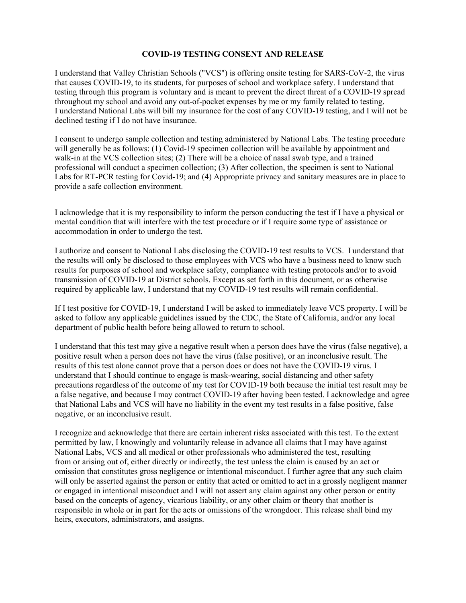## **COVID-19 TESTING CONSENT AND RELEASE**

I understand that Valley Christian Schools ("VCS") is offering onsite testing for SARS-CoV-2, the virus that causes COVID-19, to its students, for purposes of school and workplace safety. I understand that testing through this program is voluntary and is meant to prevent the direct threat of a COVID-19 spread throughout my school and avoid any out-of-pocket expenses by me or my family related to testing. I understand National Labs will bill my insurance for the cost of any COVID-19 testing, and I will not be declined testing if I do not have insurance.

I consent to undergo sample collection and testing administered by National Labs. The testing procedure will generally be as follows: (1) Covid-19 specimen collection will be available by appointment and walk-in at the VCS collection sites; (2) There will be a choice of nasal swab type, and a trained professional will conduct a specimen collection; (3) After collection, the specimen is sent to National Labs for RT-PCR testing for Covid-19; and (4) Appropriate privacy and sanitary measures are in place to provide a safe collection environment.

I acknowledge that it is my responsibility to inform the person conducting the test if I have a physical or mental condition that will interfere with the test procedure or if I require some type of assistance or accommodation in order to undergo the test.

I authorize and consent to National Labs disclosing the COVID-19 test results to VCS. I understand that the results will only be disclosed to those employees with VCS who have a business need to know such results for purposes of school and workplace safety, compliance with testing protocols and/or to avoid transmission of COVID-19 at District schools. Except as set forth in this document, or as otherwise required by applicable law, I understand that my COVID-19 test results will remain confidential.

If I test positive for COVID-19, I understand I will be asked to immediately leave VCS property. I will be asked to follow any applicable guidelines issued by the CDC, the State of California, and/or any local department of public health before being allowed to return to school.

I understand that this test may give a negative result when a person does have the virus (false negative), a positive result when a person does not have the virus (false positive), or an inconclusive result. The results of this test alone cannot prove that a person does or does not have the COVID-19 virus. I understand that I should continue to engage is mask-wearing, social distancing and other safety precautions regardless of the outcome of my test for COVID-19 both because the initial test result may be a false negative, and because I may contract COVID-19 after having been tested. I acknowledge and agree that National Labs and VCS will have no liability in the event my test results in a false positive, false negative, or an inconclusive result.

I recognize and acknowledge that there are certain inherent risks associated with this test. To the extent permitted by law, I knowingly and voluntarily release in advance all claims that I may have against National Labs, VCS and all medical or other professionals who administered the test, resulting from or arising out of, either directly or indirectly, the test unless the claim is caused by an act or omission that constitutes gross negligence or intentional misconduct. I further agree that any such claim will only be asserted against the person or entity that acted or omitted to act in a grossly negligent manner or engaged in intentional misconduct and I will not assert any claim against any other person or entity based on the concepts of agency, vicarious liability, or any other claim or theory that another is responsible in whole or in part for the acts or omissions of the wrongdoer. This release shall bind my heirs, executors, administrators, and assigns.